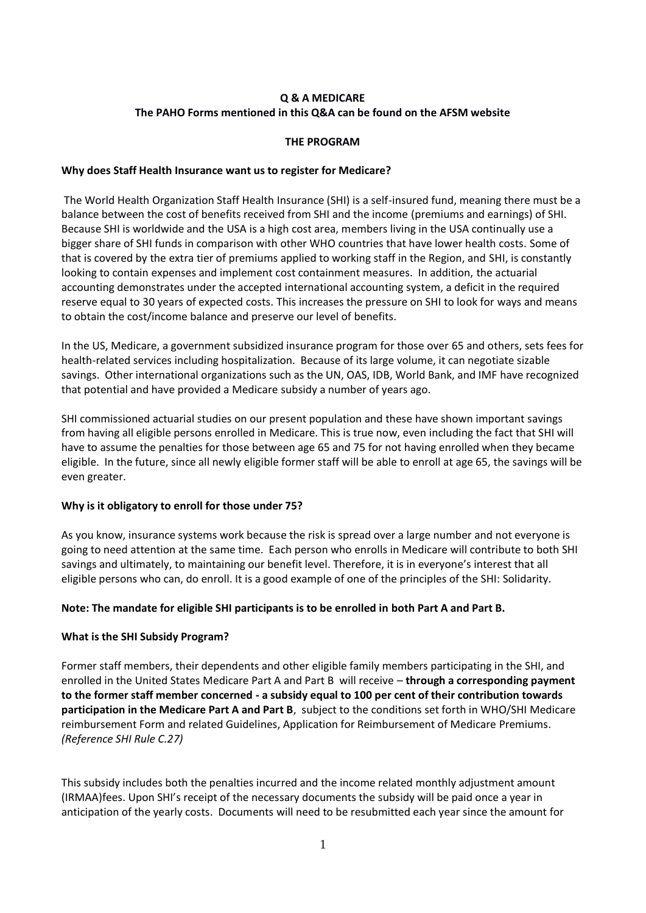# **Q & A MEDICARE The PAHO Forms mentioned in this Q&A can be found on the AFSM website**

### **THE PROGRAM**

### **Why does Staff Health Insurance want us to register for Medicare?**

The World Health Organization Staff Health Insurance (SHI) is a self-insured fund, meaning there must be a balance between the cost of benefits received from SHI and the income (premiums and earnings) of SHI. Because SHI is worldwide and the USA is a high cost area, members living in the USA continually use a bigger share of SHI funds in comparison with other WHO countries that have lower health costs. Some of that is covered by the extra tier of premiums applied to working staff in the Region, and SHI, is constantly looking to contain expenses and implement cost containment measures. In addition, the actuarial accounting demonstrates under the accepted international accounting system, a deficit in the required reserve equal to 30 years of expected costs. This increases the pressure on SHI to look for ways and means to obtain the cost/income balance and preserve our level of benefits.

In the US, Medicare, a government subsidized insurance program for those over 65 and others, sets fees for health-related services including hospitalization. Because of its large volume, it can negotiate sizable savings. Other international organizations such as the UN, OAS, IDB, World Bank, and IMF have recognized that potential and have provided a Medicare subsidy a number of years ago.

SHI commissioned actuarial studies on our present population and these have shown important savings from having all eligible persons enrolled in Medicare. This is true now, even including the fact that SHI will have to assume the penalties for those between age 65 and 75 for not having enrolled when they became eligible. In the future, since all newly eligible former staff will be able to enroll at age 65, the savings will be even greater.

### **Why is it obligatory to enroll for those under 75?**

As you know, insurance systems work because the risk is spread over a large number and not everyone is going to need attention at the same time. Each person who enrolls in Medicare will contribute to both SHI savings and ultimately, to maintaining our benefit level. Therefore, it is in everyone's interest that all eligible persons who can, do enroll. It is a good example of one of the principles of the SHI: Solidarity.

### **Note: The mandate for eligible SHI participants is to be enrolled in both Part A and Part B.**

### **What is the SHI Subsidy Program?**

Former staff members, their dependents and other eligible family members participating in the SHI, and enrolled in the United States Medicare Part A and Part B will receive – **through a corresponding payment to the former staff member concerned - a subsidy equal to 100 per cent of their contribution towards participation in the Medicare Part A and Part B**, subject to the conditions set forth in WHO/SHI Medicare reimbursement Form and related Guidelines, Application for Reimbursement of Medicare Premiums. *(Reference SHI Rule C.27)*

This subsidy includes both the penalties incurred and the income related monthly adjustment amount (IRMAA)fees. Upon SHI's receipt of the necessary documents the subsidy will be paid once a year in anticipation of the yearly costs. Documents will need to be resubmitted each year since the amount for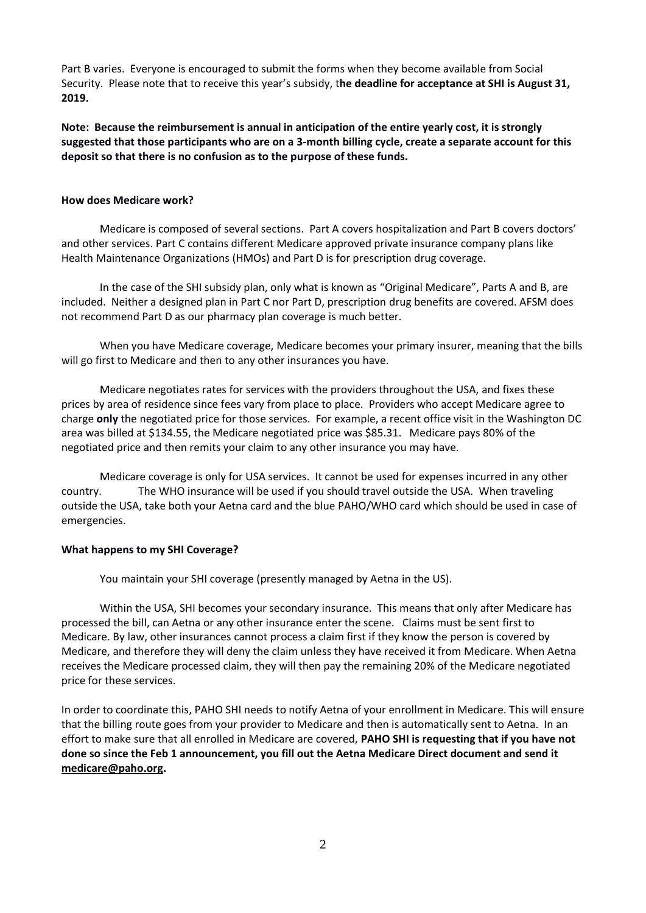Part B varies. Everyone is encouraged to submit the forms when they become available from Social Security. Please note that to receive this year's subsidy, t**he deadline for acceptance at SHI is August 31, 2019.**

**Note: Because the reimbursement is annual in anticipation of the entire yearly cost, it is strongly suggested that those participants who are on a 3-month billing cycle, create a separate account for this deposit so that there is no confusion as to the purpose of these funds.**

### **How does Medicare work?**

Medicare is composed of several sections. Part A covers hospitalization and Part B covers doctors' and other services. Part C contains different Medicare approved private insurance company plans like Health Maintenance Organizations (HMOs) and Part D is for prescription drug coverage.

In the case of the SHI subsidy plan, only what is known as "Original Medicare", Parts A and B, are included. Neither a designed plan in Part C nor Part D, prescription drug benefits are covered. AFSM does not recommend Part D as our pharmacy plan coverage is much better.

When you have Medicare coverage, Medicare becomes your primary insurer, meaning that the bills will go first to Medicare and then to any other insurances you have.

Medicare negotiates rates for services with the providers throughout the USA, and fixes these prices by area of residence since fees vary from place to place. Providers who accept Medicare agree to charge **only** the negotiated price for those services. For example, a recent office visit in the Washington DC area was billed at \$134.55, the Medicare negotiated price was \$85.31. Medicare pays 80% of the negotiated price and then remits your claim to any other insurance you may have.

Medicare coverage is only for USA services. It cannot be used for expenses incurred in any other country. The WHO insurance will be used if you should travel outside the USA. When traveling outside the USA, take both your Aetna card and the blue PAHO/WHO card which should be used in case of emergencies.

#### **What happens to my SHI Coverage?**

You maintain your SHI coverage (presently managed by Aetna in the US).

Within the USA, SHI becomes your secondary insurance. This means that only after Medicare has processed the bill, can Aetna or any other insurance enter the scene. Claims must be sent first to Medicare. By law, other insurances cannot process a claim first if they know the person is covered by Medicare, and therefore they will deny the claim unless they have received it from Medicare. When Aetna receives the Medicare processed claim, they will then pay the remaining 20% of the Medicare negotiated price for these services.

In order to coordinate this, PAHO SHI needs to notify Aetna of your enrollment in Medicare. This will ensure that the billing route goes from your provider to Medicare and then is automatically sent to Aetna. In an effort to make sure that all enrolled in Medicare are covered, **PAHO SHI is requesting that if you have not done so since the Feb 1 announcement, you fill out the Aetna Medicare Direct document and send it [medicare@paho.org.](mailto:medicare@paho.org)**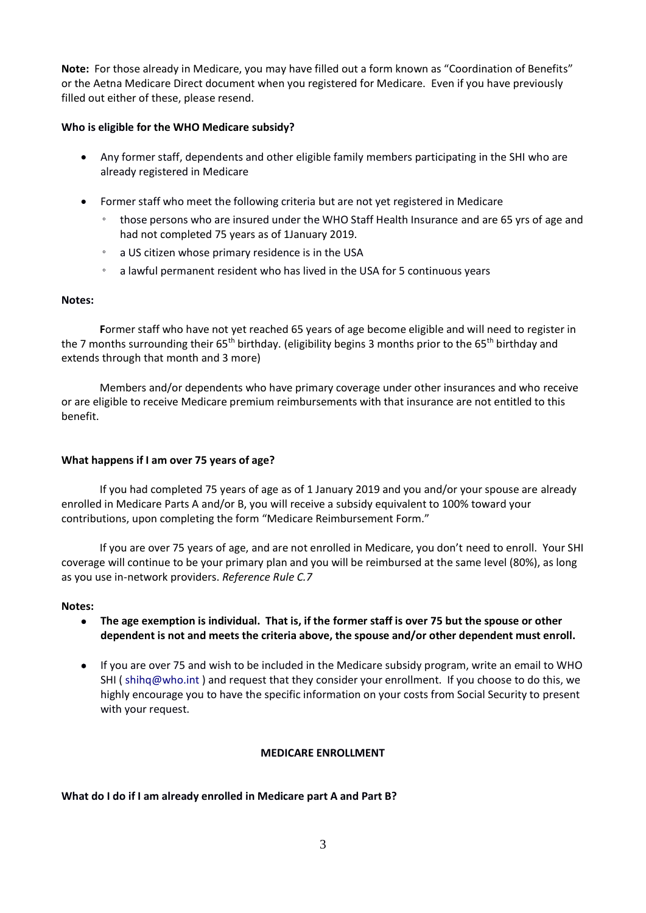**Note:** For those already in Medicare, you may have filled out a form known as "Coordination of Benefits" or the Aetna Medicare Direct document when you registered for Medicare. Even if you have previously filled out either of these, please resend.

## **Who is eligible for the WHO Medicare subsidy?**

- Any former staff, dependents and other eligible family members participating in the SHI who are already registered in Medicare
- Former staff who meet the following criteria but are not yet registered in Medicare
	- those persons who are insured under the WHO Staff Health Insurance and are 65 yrs of age and had not completed 75 years as of 1January 2019.
	- a US citizen whose primary residence is in the USA
	- a lawful permanent resident who has lived in the USA for 5 continuous years

### **Notes:**

**F**ormer staff who have not yet reached 65 years of age become eligible and will need to register in the 7 months surrounding their 65<sup>th</sup> birthday. (eligibility begins 3 months prior to the 65<sup>th</sup> birthday and extends through that month and 3 more)

Members and/or dependents who have primary coverage under other insurances and who receive or are eligible to receive Medicare premium reimbursements with that insurance are not entitled to this benefit.

### **What happens if I am over 75 years of age?**

If you had completed 75 years of age as of 1 January 2019 and you and/or your spouse are already enrolled in Medicare Parts A and/or B, you will receive a subsidy equivalent to 100% toward your contributions, upon completing the form "Medicare Reimbursement Form."

If you are over 75 years of age, and are not enrolled in Medicare, you don't need to enroll. Your SHI coverage will continue to be your primary plan and you will be reimbursed at the same level (80%), as long as you use in-network providers. *Reference Rule C.7* 

#### **Notes:**

- **The age exemption is individual. That is, if the former staff is over 75 but the spouse or other dependent is not and meets the criteria above, the spouse and/or other dependent must enroll.**
- If you are over 75 and wish to be included in the Medicare subsidy program, write an email to WHO SHI ( [shihq@who.int](mailto:shihq@who.int) ) and request that they consider your enrollment. If you choose to do this, we highly encourage you to have the specific information on your costs from Social Security to present with your request.

### **MEDICARE ENROLLMENT**

### **What do I do if I am already enrolled in Medicare part A and Part B?**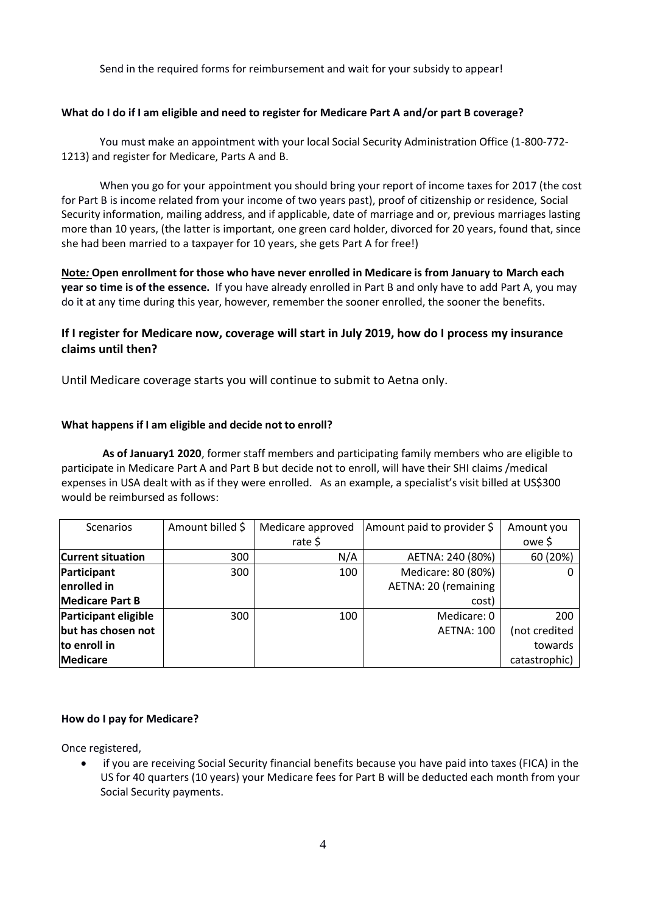Send in the required forms for reimbursement and wait for your subsidy to appear!

## **What do I do if I am eligible and need to register for Medicare Part A and/or part B coverage?**

You must make an appointment with your local Social Security Administration Office (1-800-772- 1213) and register for Medicare, Parts A and B.

When you go for your appointment you should bring your report of income taxes for 2017 (the cost for Part B is income related from your income of two years past), proof of citizenship or residence, Social Security information, mailing address, and if applicable, date of marriage and or, previous marriages lasting more than 10 years, (the latter is important, one green card holder, divorced for 20 years, found that, since she had been married to a taxpayer for 10 years, she gets Part A for free!)

**Note***:* **Open enrollment for those who have never enrolled in Medicare is from January to March each year so time is of the essence.** If you have already enrolled in Part B and only have to add Part A, you may do it at any time during this year, however, remember the sooner enrolled, the sooner the benefits.

# **If I register for Medicare now, coverage will start in July 2019, how do I process my insurance claims until then?**

Until Medicare coverage starts you will continue to submit to Aetna only.

### **What happens if I am eligible and decide not to enroll?**

**As of January1 2020**, former staff members and participating family members who are eligible to participate in Medicare Part A and Part B but decide not to enroll, will have their SHI claims /medical expenses in USA dealt with as if they were enrolled. As an example, a specialist's visit billed at US\$300 would be reimbursed as follows:

| <b>Scenarios</b>            | Amount billed \$ | Medicare approved | Amount paid to provider \$ | Amount you    |
|-----------------------------|------------------|-------------------|----------------------------|---------------|
|                             |                  | rate \$           |                            | owe \$        |
| <b>Current situation</b>    | 300              | N/A               | AETNA: 240 (80%)           | 60 (20%)      |
| Participant                 | 300              | 100               | Medicare: 80 (80%)         |               |
| enrolled in                 |                  |                   | AETNA: 20 (remaining       |               |
| <b>Medicare Part B</b>      |                  |                   | cost)                      |               |
| <b>Participant eligible</b> | 300              | 100               | Medicare: 0                | 200           |
| but has chosen not          |                  |                   | <b>AETNA: 100</b>          | (not credited |
| to enroll in                |                  |                   |                            | towards       |
| <b>Medicare</b>             |                  |                   |                            | catastrophic) |

### **How do I pay for Medicare?**

Once registered,

• if you are receiving Social Security financial benefits because you have paid into taxes (FICA) in the US for 40 quarters (10 years) your Medicare fees for Part B will be deducted each month from your Social Security payments.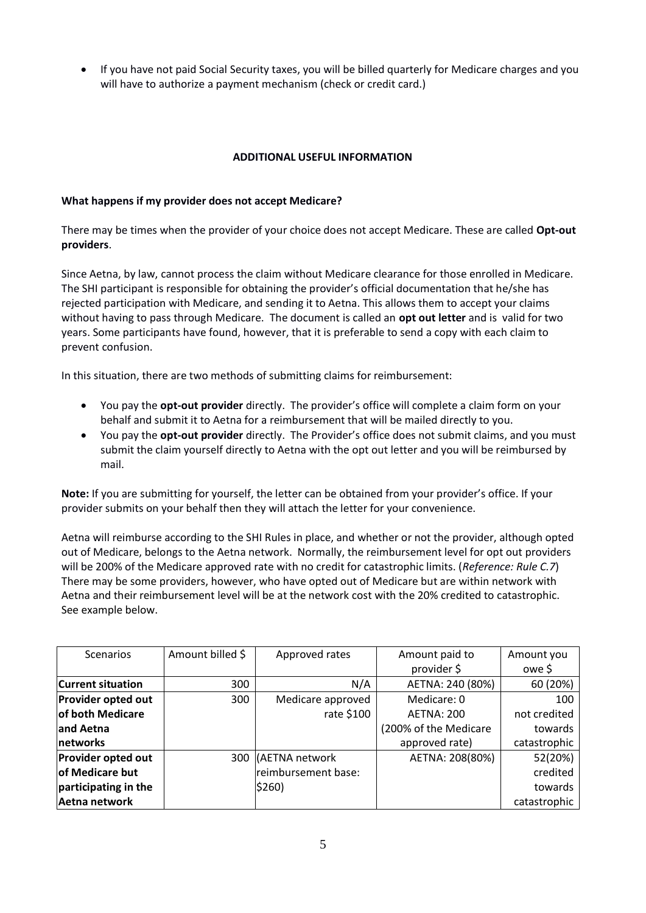• If you have not paid Social Security taxes, you will be billed quarterly for Medicare charges and you will have to authorize a payment mechanism (check or credit card.)

## **ADDITIONAL USEFUL INFORMATION**

### **What happens if my provider does not accept Medicare?**

There may be times when the provider of your choice does not accept Medicare. These are called **Opt-out providers**.

Since Aetna, by law, cannot process the claim without Medicare clearance for those enrolled in Medicare. The SHI participant is responsible for obtaining the provider's official documentation that he/she has rejected participation with Medicare, and sending it to Aetna. This allows them to accept your claims without having to pass through Medicare. The document is called an **opt out letter** and is valid for two years. Some participants have found, however, that it is preferable to send a copy with each claim to prevent confusion.

In this situation, there are two methods of submitting claims for reimbursement:

- You pay the **opt-out provider** directly. The provider's office will complete a claim form on your behalf and submit it to Aetna for a reimbursement that will be mailed directly to you.
- You pay the **opt-out provider** directly. The Provider's office does not submit claims, and you must submit the claim yourself directly to Aetna with the opt out letter and you will be reimbursed by mail.

**Note:** If you are submitting for yourself, the letter can be obtained from your provider's office. If your provider submits on your behalf then they will attach the letter for your convenience.

Aetna will reimburse according to the SHI Rules in place, and whether or not the provider, although opted out of Medicare, belongs to the Aetna network. Normally, the reimbursement level for opt out providers will be 200% of the Medicare approved rate with no credit for catastrophic limits. (*Reference: Rule C.7*) There may be some providers, however, who have opted out of Medicare but are within network with Aetna and their reimbursement level will be at the network cost with the 20% credited to catastrophic. See example below.

| <b>Scenarios</b>          | Amount billed \$ | Approved rates      | Amount paid to        | Amount you   |
|---------------------------|------------------|---------------------|-----------------------|--------------|
|                           |                  |                     | provider \$           | owe \$       |
| <b>Current situation</b>  | 300              | N/A                 | AETNA: 240 (80%)      | 60 (20%)     |
| Provider opted out        | 300              | Medicare approved   | Medicare: 0           | 100          |
| of both Medicare          |                  | rate \$100          | <b>AETNA: 200</b>     | not credited |
| and Aetna                 |                  |                     | (200% of the Medicare | towards      |
| networks                  |                  |                     | approved rate)        | catastrophic |
| <b>Provider opted out</b> |                  | 300 (AETNA network  | AETNA: 208(80%)       | 52(20%)      |
| of Medicare but           |                  | reimbursement base: |                       | credited     |
| participating in the      |                  | \$260)              |                       | towards      |
| Aetna network             |                  |                     |                       | catastrophic |